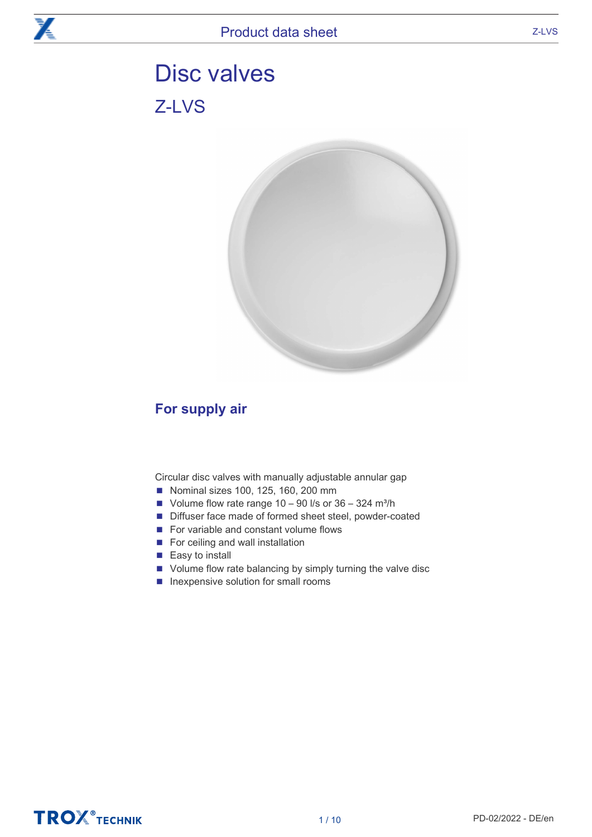# Disc valves Z-LVS



# For supply air

Circular disc valves with manually adjustable annular gap

- Nominal sizes 100, 125, 160, 200 mm
- Volume flow rate range  $10 90$  l/s or  $36 324$  m<sup>3</sup>/h
- Diffuser face made of formed sheet steel, powder-coated
- For variable and constant volume flows
- For ceiling and wall installation
- Easy to install
- Volume flow rate balancing by simply turning the valve disc
- Inexpensive solution for small rooms

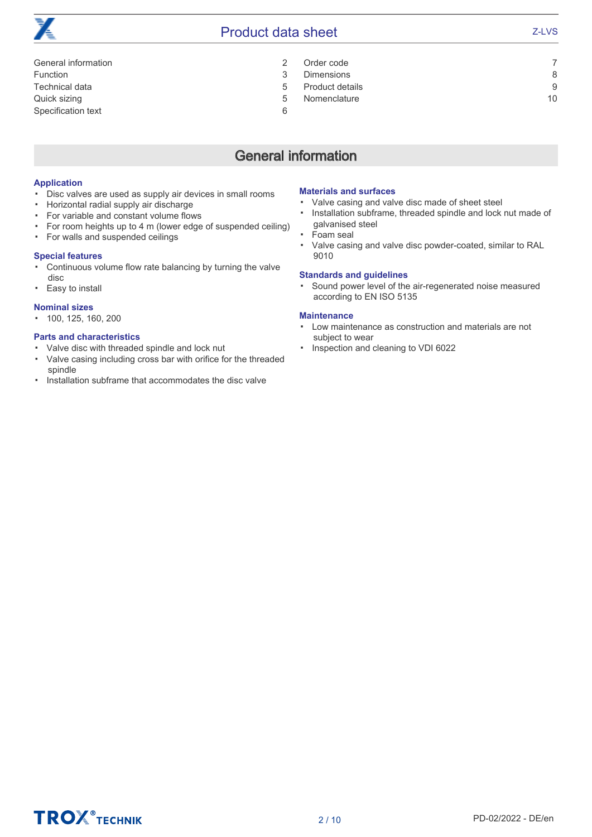

# **Product data sheet** <br> **Product data sheet**  $\sum_{i=1}^{n}$  Z-LVS

- Order code 7 Dimensions 8 Product details 9
	- Nomenclature 10
- General information 2 Function 3 Technical data 5 Quick sizing 5 Specification text 6

# General information

### Application

- Disc valves are used as supply air devices in small rooms
- Horizontal radial supply air discharge
- For variable and constant volume flows
- For room heights up to 4 m (lower edge of suspended ceiling)
- For walls and suspended ceilings

### Special features

- Continuous volume flow rate balancing by turning the valve disc
- Easy to install

### Nominal sizes

▪ 100, 125, 160, 200

### Parts and characteristics

- Valve disc with threaded spindle and lock nut
- Valve casing including cross bar with orifice for the threaded spindle
- Installation subframe that accommodates the disc valve

#### Materials and surfaces

- Valve casing and valve disc made of sheet steel
- Installation subframe, threaded spindle and lock nut made of galvanised steel
- Foam seal
- Valve casing and valve disc powder-coated, similar to RAL 9010

### Standards and guidelines

▪ Sound power level of the air-regenerated noise measured according to EN ISO 5135

#### **Maintenance**

- Low maintenance as construction and materials are not subject to wear
- Inspection and cleaning to VDI 6022

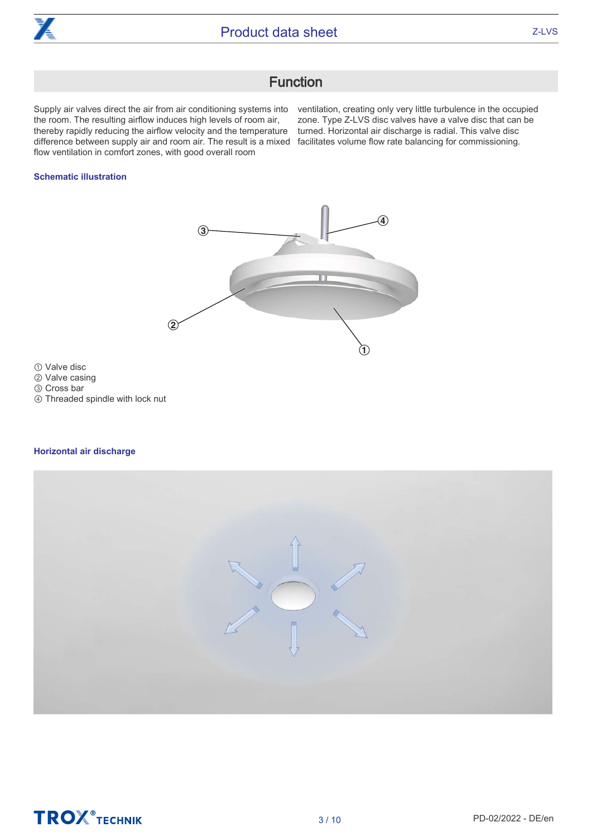

# **Function**

Supply air valves direct the air from air conditioning systems into ventilation, creating only very little turbulence in the occupied the room. The resulting airflow induces high levels of room air, thereby rapidly reducing the airflow velocity and the temperature difference between supply air and room air. The result is a mixed facilitates volume flow rate balancing for commissioning. flow ventilation in comfort zones, with good overall room

zone. Type Z-LVS disc valves have a valve disc that can be turned. Horizontal air discharge is radial. This valve disc

### Schematic illustration



① Valve disc

② Valve casing

③ Cross bar

④ Threaded spindle with lock nut

### Horizontal air discharge

|--|

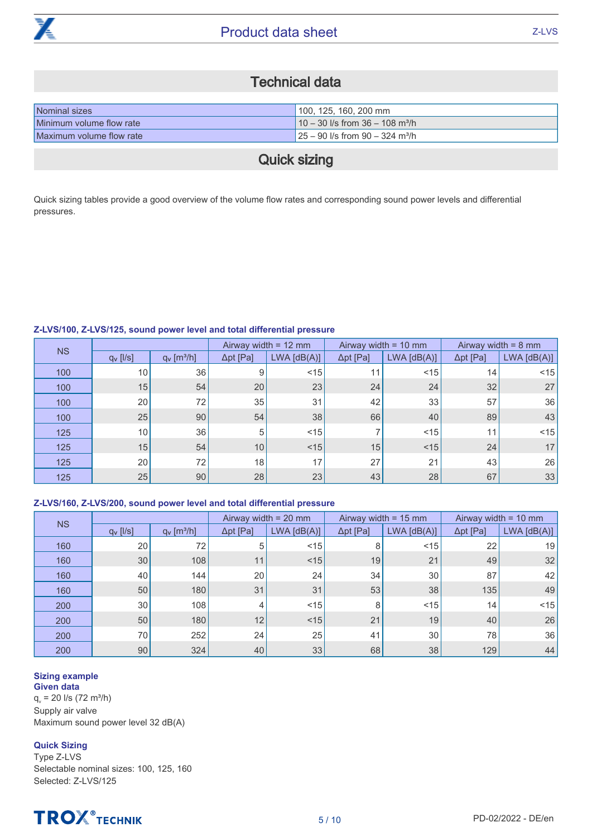

# Technical data

| Nominal sizes            | 100, 125, 160, 200 mm                          |
|--------------------------|------------------------------------------------|
| Minimum volume flow rate | $10 - 30$ I/s from 36 - 108 m <sup>3</sup> /h  |
| Maximum volume flow rate | $125 - 90$ I/s from 90 - 324 m <sup>3</sup> /h |

# Quick sizing

Quick sizing tables provide a good overview of the volume flow rates and corresponding sound power levels and differential pressures.

# Z-LVS/100, Z-LVS/125, sound power level and total differential pressure

|           |                      |                           |                  | Airway width = $12 \text{ mm}$ |                  | Airway width = $10 \text{ mm}$ |                  | Airway width = $8 \text{ mm}$ |
|-----------|----------------------|---------------------------|------------------|--------------------------------|------------------|--------------------------------|------------------|-------------------------------|
| <b>NS</b> | $q_v$ [ $\sqrt{s}$ ] | $q_v$ [m <sup>3</sup> /h] | $\Delta pt$ [Pa] | $LWA$ $[dB(A)]$                | $\Delta pt$ [Pa] | $LWA$ [dB(A)]                  | $\Delta pt$ [Pa] | $LWA$ $[dB(A)]$               |
| 100       | 10                   | 36                        | 9                | < 15                           | 11               | < 15                           | 14               | < 15                          |
| 100       | 15                   | 54                        | 20               | 23                             | 24               | 24                             | 32               | 27                            |
| 100       | 20 <sub>1</sub>      | 72                        | 35               | 31                             | 42               | 33                             | 57               | 36                            |
| 100       | 25                   | 90                        | 54               | 38                             | 66               | 40                             | 89               | 43                            |
| 125       | 10                   | 36                        | 5                | < 15                           |                  | < 15                           | 11               | $<$ 15                        |
| 125       | 15                   | 54                        | 10               | < 15                           | 15               | < 15                           | 24               | 17                            |
| 125       | 20                   | 72                        | 18               | 17                             | 27               | 21                             | 43               | 26                            |
| 125       | 25                   | 90                        | 28               | 23                             | 43               | 28                             | 67               | 33                            |

# Z-LVS/160, Z-LVS/200, sound power level and total differential pressure

|           |                 |                           |                  | Airway width $= 20$ mm |                  | Airway width = $15 \text{ mm}$ |                  | Airway width = $10 \text{ mm}$ |
|-----------|-----------------|---------------------------|------------------|------------------------|------------------|--------------------------------|------------------|--------------------------------|
| <b>NS</b> | $q_v$ [ $ $ /s] | $q_v$ [m <sup>3</sup> /h] | $\Delta$ pt [Pa] | $LWA$ [dB(A)]          | $\Delta pt$ [Pa] | $LWA$ $[dB(A)]$                | $\Delta pt$ [Pa] | $LWA$ $[dB(A)]$                |
| 160       | 20              | 72                        | 5                | < 15                   | 8                | < 15                           | 22               | 19                             |
| 160       | 30              | 108                       | 11               | < 15                   | 19               | 21                             | 49               | 32                             |
| 160       | 40              | 144                       | 20               | 24                     | 34               | 30                             | 87               | 42                             |
| 160       | 50              | 180                       | 31               | 31                     | 53               | 38                             | 135              | 49                             |
| 200       | 30              | 108                       | 4                | < 15                   | 8                | < 15                           | 14 <sub>1</sub>  | < 15                           |
| 200       | 50              | 180                       | 12               | < 15                   | 21               | 19                             | 40               | 26                             |
| 200       | 70              | 252                       | 24               | 25                     | 41               | 30                             | 78               | 36                             |
| 200       | 90              | 324                       | 40               | 33                     | 68               | 38                             | 129              | 44                             |

#### Sizing example Given data

 $q_v = 20$  l/s (72 m<sup>3</sup>/h) Supply air valve Maximum sound power level 32 dB(A)

# Quick Sizing

Type Z-LVS Selectable nominal sizes: 100, 125, 160 Selected: Z-LVS/125

# **TROX** TECHNIK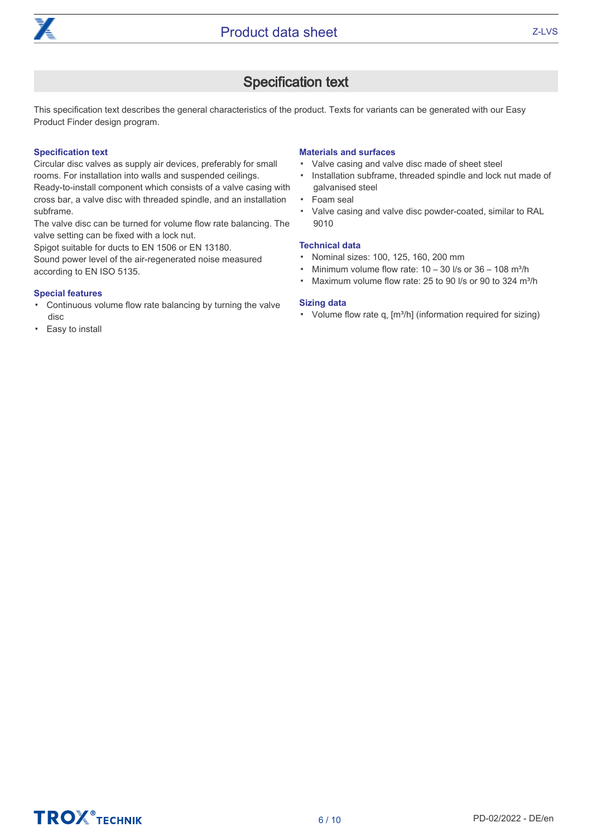

# Specification text

This specification text describes the general characteristics of the product. Texts for variants can be generated with our Easy Product Finder design program.

### Specification text

Circular disc valves as supply air devices, preferably for small rooms. For installation into walls and suspended ceilings.

Ready-to-install component which consists of a valve casing with cross bar, a valve disc with threaded spindle, and an installation subframe.

The valve disc can be turned for volume flow rate balancing. The valve setting can be fixed with a lock nut.

Spigot suitable for ducts to EN 1506 or EN 13180.

Sound power level of the air-regenerated noise measured according to EN ISO 5135.

### Special features

- Continuous volume flow rate balancing by turning the valve disc
- Easy to install

# Materials and surfaces

- Valve casing and valve disc made of sheet steel
- Installation subframe, threaded spindle and lock nut made of galvanised steel
- Foam seal
- Valve casing and valve disc powder-coated, similar to RAL 9010

# Technical data

- Nominal sizes: 100, 125, 160, 200 mm
- **•** Minimum volume flow rate:  $10 30$  I/s or  $36 108$  m<sup>3</sup>/h
- Maximum volume flow rate: 25 to 90 l/s or 90 to 324 m<sup>3</sup>/h

# Sizing data

• Volume flow rate  $q_v$  [m<sup>3</sup>/h] (information required for sizing)

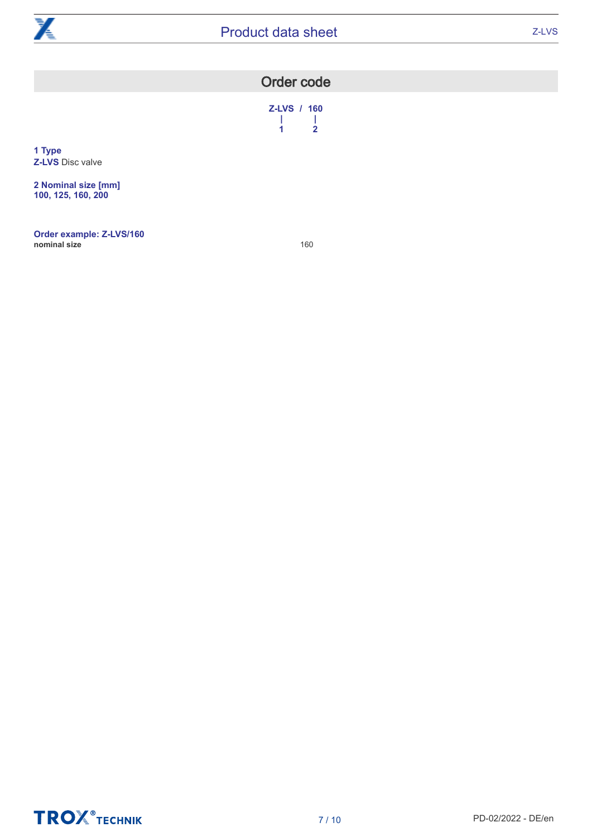

| <b>Order code</b> |  |
|-------------------|--|
|-------------------|--|

Z-LVS / 160<br> $\begin{array}{cc} 1 & 1 \\ 1 & 2 \end{array}$ | | 1 2

**1 Type Z-LVS** Disc valve

**2 Nominal size [mm]** 100, 125, 160, 200

Order example: Z-LVS/160 nominal size **160** 

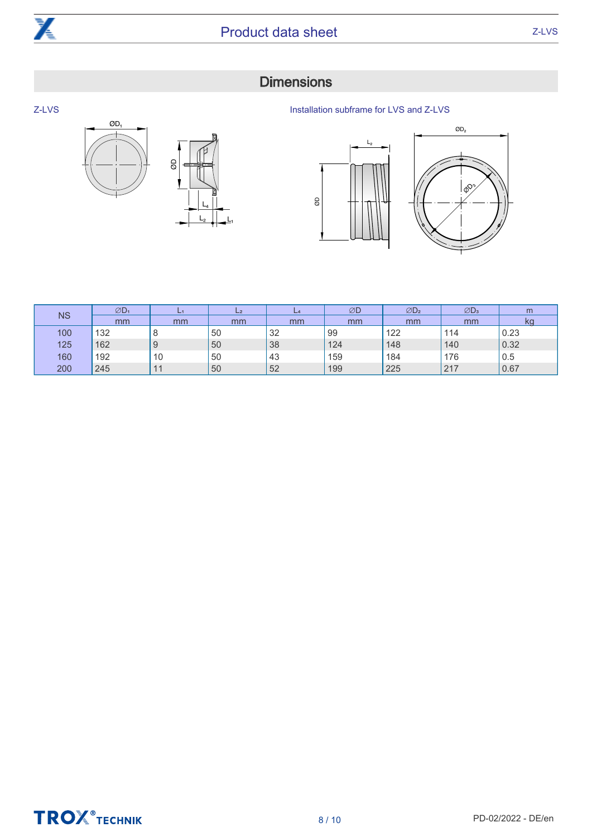

 $\mathcal{B}$ 

<u> Lշ | \_ L</u>յ  $L_4$ 

 $OD<sub>1</sub>$ 

# **Dimensions**

Z-LVS

Installation subframe for LVS and Z-LVS



|           | $ØD_1$ | L1      | $L_{2}$ | $L_4$ | ØD  | ØD <sub>2</sub> | $ØD_3$ | m    |
|-----------|--------|---------|---------|-------|-----|-----------------|--------|------|
| <b>NS</b> | mm     | mm      | mm      | mm    | mm  | mm              | mm     | kc   |
| 100       | 132    | $\circ$ | 50      | 32    | 99  | 122             | 114    | 0.23 |
| 125       | 162    | 9       | 50      | 38    | 124 | 148             | 140    | 0.32 |
| 160       | 192    | 10      | 50      | 43    | 159 | 184             | 176    | 0.5  |
| 200       | 245    |         | 50      | 52    | 199 | 225             | 217    | 0.67 |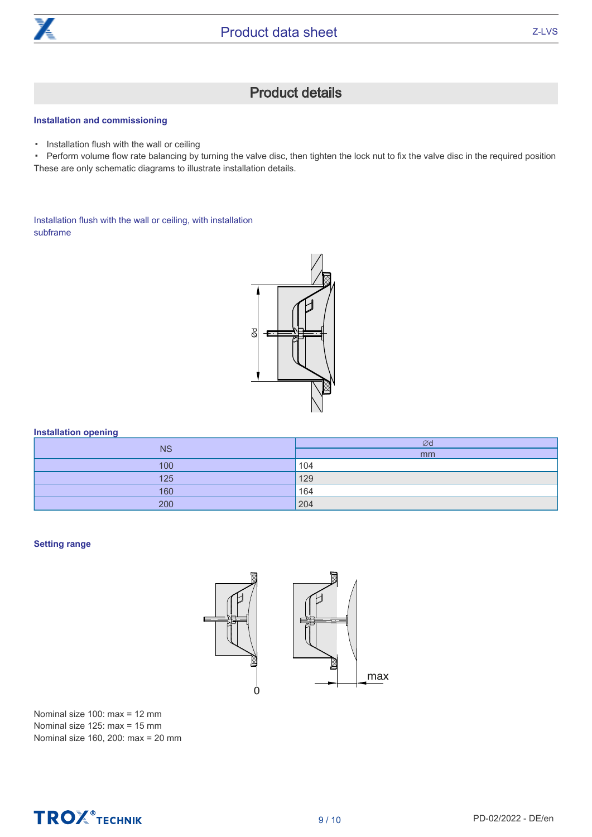

# Product details

### Installation and commissioning

▪ Installation flush with the wall or ceiling

▪ Perform volume flow rate balancing by turning the valve disc, then tighten the lock nut to fix the valve disc in the required position These are only schematic diagrams to illustrate installation details.

Installation flush with the wall or ceiling, with installation subframe



### Installation opening

|           | Ød  |
|-----------|-----|
| <b>NS</b> | mm  |
| 100       | 104 |
| 125       | 129 |
| 160       | 164 |
| 200       | 204 |

#### Setting range



Nominal size 100: max = 12 mm Nominal size 125: max = 15 mm Nominal size 160, 200: max = 20 mm